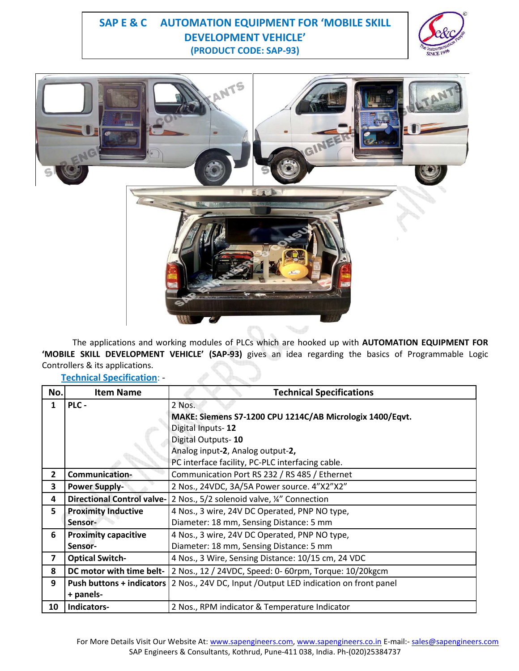# **(PRODUCT CODE: SAP-93) SAP E & C AUTOMATION EQUIPMENT FOR 'MOBILE SKILL DEVELOPMENT VEHICLE'**





 The applications and working modules of PLCs which are hooked up with **AUTOMATION EQUIPMENT FOR 'MOBILE SKILL DEVELOPMENT VEHICLE' (SAP-93)** gives an idea regarding the basics of Programmable Logic Controllers & its applications.

**Technical Specification**: -

| No.            | <b>Item Name</b>            | <b>Technical Specifications</b>                                                          |
|----------------|-----------------------------|------------------------------------------------------------------------------------------|
| $\mathbf{1}$   | PLC -                       | 2 Nos.                                                                                   |
|                |                             | MAKE: Siemens S7-1200 CPU 1214C/AB Micrologix 1400/Eqvt.                                 |
|                |                             | Digital Inputs-12                                                                        |
|                |                             | Digital Outputs-10                                                                       |
|                |                             | Analog input-2, Analog output-2,                                                         |
|                |                             | PC interface facility, PC-PLC interfacing cable.                                         |
| $\mathbf{2}$   | Communication-              | Communication Port RS 232 / RS 485 / Ethernet                                            |
| 3              | <b>Power Supply-</b>        | 2 Nos., 24VDC, 3A/5A Power source. 4"X2"X2"                                              |
| 4              |                             | Directional Control valve- 2 Nos., 5/2 solenoid valve, ¼" Connection                     |
| 5              | <b>Proximity Inductive</b>  | 4 Nos., 3 wire, 24V DC Operated, PNP NO type,                                            |
|                | Sensor-                     | Diameter: 18 mm, Sensing Distance: 5 mm                                                  |
| 6              | <b>Proximity capacitive</b> | 4 Nos., 3 wire, 24V DC Operated, PNP NO type,                                            |
|                | Sensor-                     | Diameter: 18 mm, Sensing Distance: 5 mm                                                  |
| $\overline{7}$ | <b>Optical Switch-</b>      | 4 Nos., 3 Wire, Sensing Distance: 10/15 cm, 24 VDC                                       |
| 8              | DC motor with time belt-    | 2 Nos., 12 / 24VDC, Speed: 0- 60rpm, Torque: 10/20kgcm                                   |
| 9              |                             | Push buttons + indicators   2 Nos., 24V DC, Input / Output LED indication on front panel |
|                | + panels-                   |                                                                                          |
| 10             | Indicators-                 | 2 Nos., RPM indicator & Temperature Indicator                                            |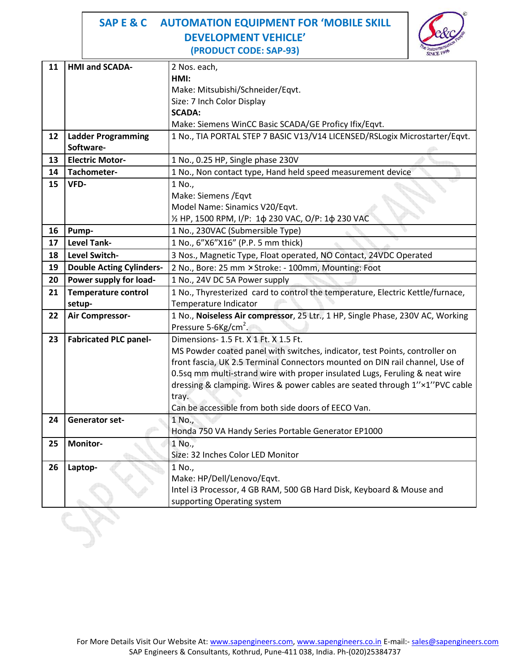# **(PRODUCT CODE: SAP-93) SAP E & C AUTOMATION EQUIPMENT FOR 'MOBILE SKILL DEVELOPMENT VEHICLE'**



| 11 | <b>HMI and SCADA-</b>           | 2 Nos. each,                                                                   |  |
|----|---------------------------------|--------------------------------------------------------------------------------|--|
|    |                                 | HMI:                                                                           |  |
|    |                                 | Make: Mitsubishi/Schneider/Eqvt.                                               |  |
|    |                                 | Size: 7 Inch Color Display                                                     |  |
|    |                                 | <b>SCADA:</b>                                                                  |  |
|    |                                 | Make: Siemens WinCC Basic SCADA/GE Proficy Ifix/Eqvt.                          |  |
| 12 | <b>Ladder Programming</b>       | 1 No., TIA PORTAL STEP 7 BASIC V13/V14 LICENSED/RSLogix Microstarter/Eqvt.     |  |
|    | Software-                       |                                                                                |  |
| 13 | <b>Electric Motor-</b>          | 1 No., 0.25 HP, Single phase 230V                                              |  |
| 14 | Tachometer-                     | 1 No., Non contact type, Hand held speed measurement device                    |  |
| 15 | VFD-                            | 1 No.,                                                                         |  |
|    |                                 | Make: Siemens / Eqvt                                                           |  |
|    |                                 | Model Name: Sinamics V20/Eqvt.                                                 |  |
|    |                                 | 1/2 HP, 1500 RPM, I/P: 1φ 230 VAC, O/P: 1φ 230 VAC                             |  |
| 16 | Pump-                           | 1 No., 230VAC (Submersible Type)                                               |  |
| 17 | <b>Level Tank-</b>              | 1 No., 6"X6"X16" (P.P. 5 mm thick)                                             |  |
| 18 | Level Switch-                   | 3 Nos., Magnetic Type, Float operated, NO Contact, 24VDC Operated              |  |
| 19 | <b>Double Acting Cylinders-</b> | 2 No., Bore: 25 mm × Stroke: - 100mm, Mounting: Foot                           |  |
| 20 | Power supply for load-          | 1 No., 24V DC 5A Power supply                                                  |  |
| 21 | <b>Temperature control</b>      | 1 No., Thyresterized card to control the temperature, Electric Kettle/furnace, |  |
|    | setup-                          | Temperature Indicator                                                          |  |
| 22 | Air Compressor-                 | 1 No., Noiseless Air compressor, 25 Ltr., 1 HP, Single Phase, 230V AC, Working |  |
|    |                                 | Pressure 5-6Kg/cm <sup>2</sup> .                                               |  |
| 23 | <b>Fabricated PLC panel-</b>    | Dimensions- 1.5 Ft. X 1 Ft. X 1.5 Ft.                                          |  |
|    |                                 | MS Powder coated panel with switches, indicator, test Points, controller on    |  |
|    |                                 | front fascia, UK 2.5 Terminal Connectors mounted on DIN rail channel, Use of   |  |
|    |                                 | 0.5sq mm multi-strand wire with proper insulated Lugs, Feruling & neat wire    |  |
|    |                                 | dressing & clamping. Wires & power cables are seated through 1"x1"PVC cable    |  |
|    |                                 | tray.                                                                          |  |
|    |                                 | Can be accessible from both side doors of EECO Van.                            |  |
| 24 | <b>Generator set-</b>           | 1 No.,                                                                         |  |
|    |                                 | Honda 750 VA Handy Series Portable Generator EP1000                            |  |
| 25 | Monitor-                        | 1 No.,                                                                         |  |
|    |                                 | Size: 32 Inches Color LED Monitor                                              |  |
| 26 | Laptop-                         | 1 No.,                                                                         |  |
|    |                                 | Make: HP/Dell/Lenovo/Eqvt.                                                     |  |
|    |                                 | Intel i3 Processor, 4 GB RAM, 500 GB Hard Disk, Keyboard & Mouse and           |  |
|    |                                 | supporting Operating system                                                    |  |
|    |                                 |                                                                                |  |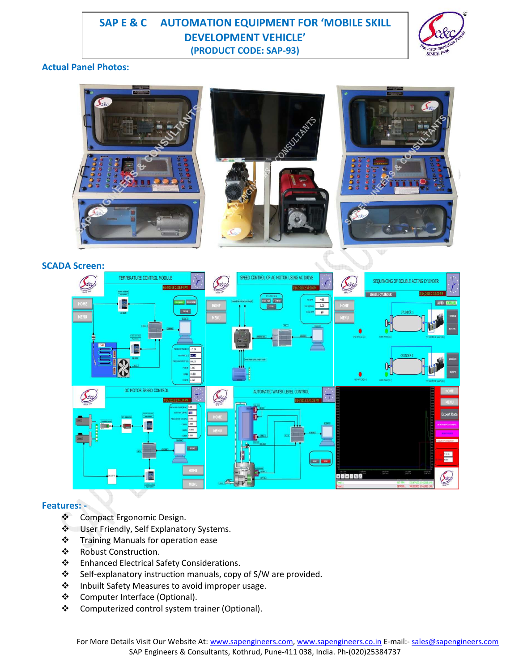# **(PRODUCT CODE: SAP-93) SAP E & C AUTOMATION EQUIPMENT FOR 'MOBILE SKILL DEVELOPMENT VEHICLE'**



### **Actual Panel Photos:**



### **Features: -**

- ❖ Compact Ergonomic Design.
- $\cdot$  User Friendly, Self Explanatory Systems.
- **❖** Training Manuals for operation ease
- Robust Construction.
- Enhanced Electrical Safety Considerations.
- Self-explanatory instruction manuals, copy of S/W are provided.
- ❖ Inbuilt Safety Measures to avoid improper usage.
- Computer Interface (Optional).
- Computerized control system trainer (Optional).